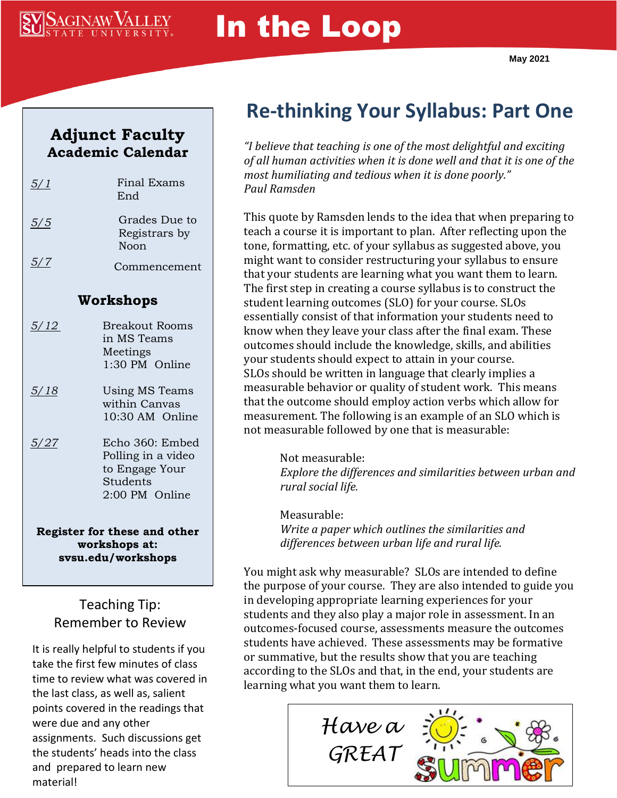## **SAGINAW VALLEY**

# In the Loop

#### **Adjunct Faculty Academic Calendar**

| $\frac{5}{1}$ | Final Exams<br>End                                                                      |
|---------------|-----------------------------------------------------------------------------------------|
| 5/5           | Grades Due to<br>Registrars by<br>Noon                                                  |
| 5/7           | Commencement                                                                            |
| Workshops     |                                                                                         |
| 5/12          | <b>Breakout Rooms</b><br>in MS Teams<br>Meetings<br>1:30 PM Online                      |
| <u>5/18</u>   | Using MS Teams<br>within Canvas<br>10:30 AM Online                                      |
| 5/27          | Echo 360: Embed<br>Polling in a video<br>to Engage Your<br>Students<br>$2:00$ PM Online |

#### **Register for these and other workshops at: svsu.edu/workshops**

#### Teaching Tip: Remember to Review

It is really helpful to students if you take the first few minutes of class time to review what was covered in the last class, as well as, salient points covered in the readings that were due and any other assignments. Such discussions get the students' heads into the class and prepared to learn new material!

## **Re-thinking Your Syllabus: Part One**

*"I believe that teaching is one of the most delightful and exciting of all human activities when it is done well and that it is one of the most humiliating and tedious when it is done poorly." Paul Ramsden* 

This quote by Ramsden lends to the idea that when preparing to teach a course it is important to plan. After reflecting upon the tone, formatting, etc. of your syllabus as suggested above, you might want to consider restructuring your syllabus to ensure that your students are learning what you want them to learn. The first step in creating a course syllabus is to construct the student learning outcomes (SLO) for your course. SLOs essentially consist of that information your students need to know when they leave your class after the final exam. These outcomes should include the knowledge, skills, and abilities your students should expect to attain in your course. SLOs should be written in language that clearly implies a measurable behavior or quality of student work. This means that the outcome should employ action verbs which allow for measurement. The following is an example of an SLO which is not measurable followed by one that is measurable:

> Not measurable: *Explore the differences and similarities between urban and rural social life.*

Measurable: *Write a paper which outlines the similarities and differences between urban life and rural life.*

You might ask why measurable? SLOs are intended to define the purpose of your course. They are also intended to guide you in developing appropriate learning experiences for your students and they also play a major role in assessment. In an outcomes-focused course, assessments measure the outcomes students have achieved. These assessments may be formative or summative, but the results show that you are teaching according to the SLOs and that, in the end, your students are learning what you want them to learn.